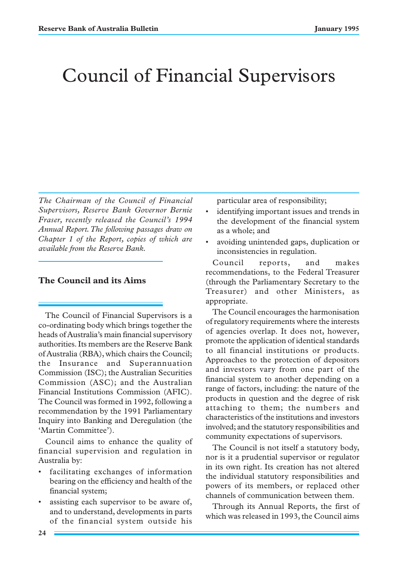# Council of Financial Supervisors

*The Chairman of the Council of Financial Supervisors, Reserve Bank Governor Bernie Fraser, recently released the Council's 1994 Annual Report. The following passages draw on Chapter 1 of the Report, copies of which are available from the Reserve Bank.*

## **The Council and its Aims**

The Council of Financial Supervisors is a co-ordinating body which brings together the heads of Australia's main financial supervisory authorities. Its members are the Reserve Bank of Australia (RBA), which chairs the Council; the Insurance and Superannuation Commission (ISC); the Australian Securities Commission (ASC); and the Australian Financial Institutions Commission (AFIC). The Council was formed in 1992, following a recommendation by the 1991 Parliamentary Inquiry into Banking and Deregulation (the 'Martin Committee').

Council aims to enhance the quality of financial supervision and regulation in Australia by:

- facilitating exchanges of information bearing on the efficiency and health of the financial system;
- assisting each supervisor to be aware of, and to understand, developments in parts of the financial system outside his

particular area of responsibility;

- identifying important issues and trends in the development of the financial system as a whole; and
- avoiding unintended gaps, duplication or inconsistencies in regulation.

Council reports, and makes recommendations, to the Federal Treasurer (through the Parliamentary Secretary to the Treasurer) and other Ministers, as appropriate.

The Council encourages the harmonisation of regulatory requirements where the interests of agencies overlap. It does not, however, promote the application of identical standards to all financial institutions or products. Approaches to the protection of depositors and investors vary from one part of the financial system to another depending on a range of factors, including: the nature of the products in question and the degree of risk attaching to them; the numbers and characteristics of the institutions and investors involved; and the statutory responsibilities and community expectations of supervisors.

The Council is not itself a statutory body, nor is it a prudential supervisor or regulator in its own right. Its creation has not altered the individual statutory responsibilities and powers of its members, or replaced other channels of communication between them.

Through its Annual Reports, the first of which was released in 1993, the Council aims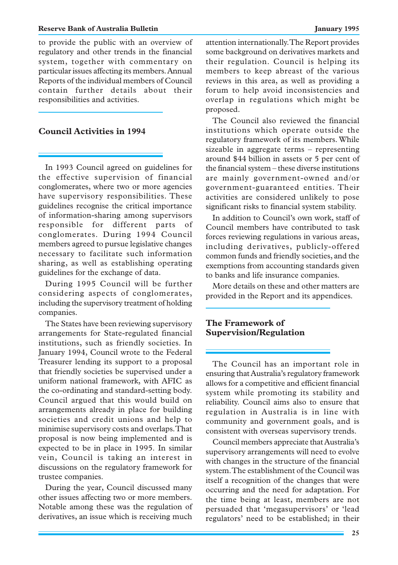#### **Reserve Bank of Australia Bulletin January 1995**

to provide the public with an overview of regulatory and other trends in the financial system, together with commentary on particular issues affecting its members. Annual Reports of the individual members of Council contain further details about their responsibilities and activities.

## **Council Activities in 1994**

In 1993 Council agreed on guidelines for the effective supervision of financial conglomerates, where two or more agencies have supervisory responsibilities. These guidelines recognise the critical importance of information-sharing among supervisors responsible for different parts of conglomerates. During 1994 Council members agreed to pursue legislative changes necessary to facilitate such information sharing, as well as establishing operating guidelines for the exchange of data.

During 1995 Council will be further considering aspects of conglomerates, including the supervisory treatment of holding companies.

The States have been reviewing supervisory arrangements for State-regulated financial institutions, such as friendly societies. In January 1994, Council wrote to the Federal Treasurer lending its support to a proposal that friendly societies be supervised under a uniform national framework, with AFIC as the co-ordinating and standard-setting body. Council argued that this would build on arrangements already in place for building societies and credit unions and help to minimise supervisory costs and overlaps. That proposal is now being implemented and is expected to be in place in 1995. In similar vein, Council is taking an interest in discussions on the regulatory framework for trustee companies.

During the year, Council discussed many other issues affecting two or more members. Notable among these was the regulation of derivatives, an issue which is receiving much attention internationally. The Report provides some background on derivatives markets and their regulation. Council is helping its members to keep abreast of the various reviews in this area, as well as providing a forum to help avoid inconsistencies and overlap in regulations which might be proposed.

The Council also reviewed the financial institutions which operate outside the regulatory framework of its members. While sizeable in aggregate terms – representing around \$44 billion in assets or 5 per cent of the financial system – these diverse institutions are mainly government-owned and/or government-guaranteed entities. Their activities are considered unlikely to pose significant risks to financial system stability.

In addition to Council's own work, staff of Council members have contributed to task forces reviewing regulations in various areas, including derivatives, publicly-offered common funds and friendly societies, and the exemptions from accounting standards given to banks and life insurance companies.

More details on these and other matters are provided in the Report and its appendices.

## **The Framework of Supervision/Regulation**

The Council has an important role in ensuring that Australia's regulatory framework allows for a competitive and efficient financial system while promoting its stability and reliability. Council aims also to ensure that regulation in Australia is in line with community and government goals, and is consistent with overseas supervisory trends.

Council members appreciate that Australia's supervisory arrangements will need to evolve with changes in the structure of the financial system. The establishment of the Council was itself a recognition of the changes that were occurring and the need for adaptation. For the time being at least, members are not persuaded that 'megasupervisors' or 'lead regulators' need to be established; in their